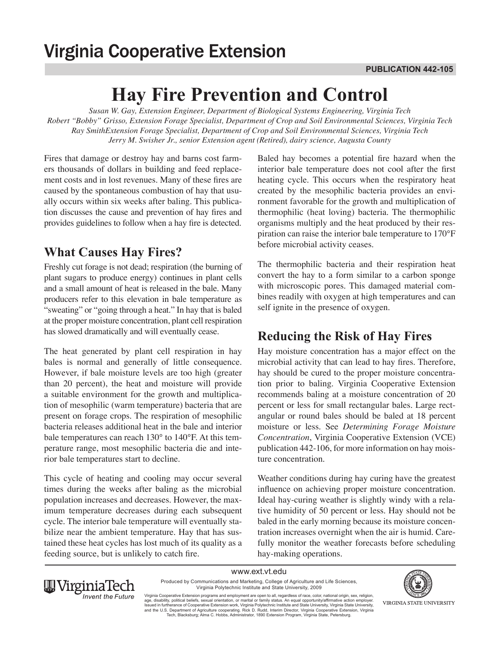# **Virginia Cooperative Extension**

# **Hay Fire Prevention and Control**

*Susan W. Gay, Extension Engineer, Department of Biological Systems Engineering, Virginia Tech Robert "Bobby" Grisso, Extension Forage Specialist, Department of Crop and Soil Environmental Sciences, Virginia Tech Ray SmithExtension Forage Specialist, Department of Crop and Soil Environmental Sciences, Virginia Tech Jerry M. Swisher Jr., senior Extension agent (Retired), dairy science, Augusta County*

Fires that damage or destroy hay and barns cost farmers thousands of dollars in building and feed replacement costs and in lost revenues. Many of these fires are caused by the spontaneous combustion of hay that usually occurs within six weeks after baling. This publication discusses the cause and prevention of hay fires and provides guidelines to follow when a hay fire is detected.

# **What Causes Hay Fires?**

Freshly cut forage is not dead; respiration (the burning of plant sugars to produce energy) continues in plant cells and a small amount of heat is released in the bale. Many producers refer to this elevation in bale temperature as "sweating" or "going through a heat." In hay that is baled at the proper moisture concentration, plant cell respiration has slowed dramatically and will eventually cease.

The heat generated by plant cell respiration in hay bales is normal and generally of little consequence. However, if bale moisture levels are too high (greater than 20 percent), the heat and moisture will provide a suitable environment for the growth and multiplication of mesophilic (warm temperature) bacteria that are present on forage crops. The respiration of mesophilic bacteria releases additional heat in the bale and interior bale temperatures can reach 130° to 140°F. At this temperature range, most mesophilic bacteria die and interior bale temperatures start to decline.

This cycle of heating and cooling may occur several times during the weeks after baling as the microbial population increases and decreases. However, the maximum temperature decreases during each subsequent cycle. The interior bale temperature will eventually stabilize near the ambient temperature. Hay that has sustained these heat cycles has lost much of its quality as a feeding source, but is unlikely to catch fire.

Baled hay becomes a potential fire hazard when the interior bale temperature does not cool after the first heating cycle. This occurs when the respiratory heat created by the mesophilic bacteria provides an environment favorable for the growth and multiplication of thermophilic (heat loving) bacteria. The thermophilic organisms multiply and the heat produced by their respiration can raise the interior bale temperature to 170°F before microbial activity ceases.

The thermophilic bacteria and their respiration heat convert the hay to a form similar to a carbon sponge with microscopic pores. This damaged material combines readily with oxygen at high temperatures and can self ignite in the presence of oxygen.

# **Reducing the Risk of Hay Fires**

Hay moisture concentration has a major effect on the microbial activity that can lead to hay fires. Therefore, hay should be cured to the proper moisture concentration prior to baling. Virginia Cooperative Extension recommends baling at a moisture concentration of 20 percent or less for small rectangular bales. Large rectangular or round bales should be baled at 18 percent moisture or less. See *Determining Forage Moisture Concentration*, Virginia Cooperative Extension (VCE) publication 442-106, for more information on hay moisture concentration.

Weather conditions during hay curing have the greatest influence on achieving proper moisture concentration. Ideal hay-curing weather is slightly windy with a relative humidity of 50 percent or less. Hay should not be baled in the early morning because its moisture concentration increases overnight when the air is humid. Carefully monitor the weather forecasts before scheduling hay-making operations.

www.ext.vt.edu Produced by Communications and Marketing, College of Agriculture and Life Sciences, Virginia Polytechnic Institute and State University, 2009



Virginia Cooperative Extension programs and employment are open to all, regardless of race, color, national origin, sex, religion,<br>age, disability, political beliefs, sexual orientation, or marital or family status. An equ and the U.S. Department of Agriculture cooperating. Rick D. Rudd, Interim Director, Virginia Cooperative Extension, Virginia<br>Tech, Blacksburg; Alma C. Hobbs, Administrator, 1890 Extension Program, Virginia State, Petersbur

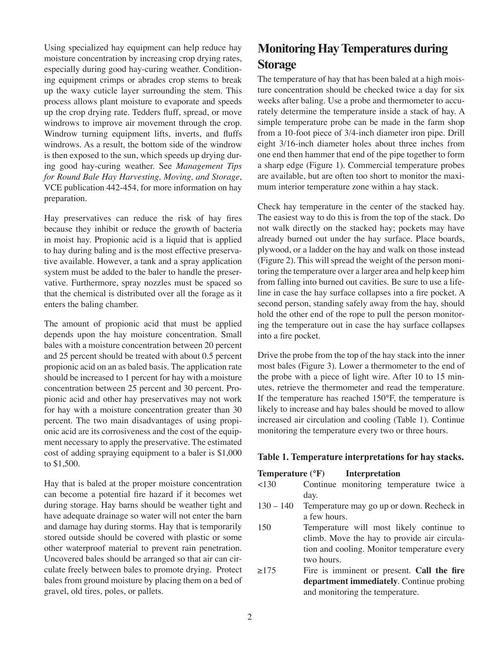Using specialized hay equipment can help reduce hay moisture concentration by increasing crop drying rates, especially during good hay-curing weather. Conditioning equipment crimps or abrades crop stems to break up the waxy cuticle layer surrounding the stem. This process allows plant moisture to evaporate and speeds up the crop drying rate. Tedders fluff, spread, or move windrows to improve air movement through the crop. Windrow turning equipment lifts, inverts, and fluffs windrows. As a result, the bottom side of the windrow is then exposed to the sun, which speeds up drying during good hay-curing weather. See *Management Tips for Round Bale Hay Harvesting, Moving, and Storage*, VCE publication 442-454, for more information on hay preparation.

Hay preservatives can reduce the risk of hay fires because they inhibit or reduce the growth of bacteria in moist hay. Propionic acid is a liquid that is applied to hay during baling and is the most effective preservative available. However, a tank and a spray application system must be added to the baler to handle the preservative. Furthermore, spray nozzles must be spaced so that the chemical is distributed over all the forage as it enters the baling chamber.

The amount of propionic acid that must be applied depends upon the hay moisture concentration. Small bales with a moisture concentration between 20 percent and 25 percent should be treated with about 0.5 percent propionic acid on an as baled basis. The application rate should be increased to 1 percent for hay with a moisture concentration between 25 percent and 30 percent. Propionic acid and other hay preservatives may not work for hay with a moisture concentration greater than 30 percent. The two main disadvantages of using propionic acid are its corrosiveness and the cost of the equipment necessary to apply the preservative. The estimated cost of adding spraying equipment to a baler is \$1,000 to \$1,500.

Hay that is baled at the proper moisture concentration can become a potential fire hazard if it becomes wet during storage. Hay barns should be weather tight and have adequate drainage so water will not enter the barn and damage hay during storms. Hay that is temporarily stored outside should be covered with plastic or some other waterproof material to prevent rain penetration. Uncovered bales should be arranged so that air can circulate freely between bales to promote drying. Protect bales from ground moisture by placing them on a bed of gravel, old tires, poles, or pallets.

# **Monitoring Hay Temperatures during Storage**

The temperature of hay that has been baled at a high moisture concentration should be checked twice a day for six weeks after baling. Use a probe and thermometer to accurately determine the temperature inside a stack of hay. A simple temperature probe can be made in the farm shop from a 10-foot piece of 3/4-inch diameter iron pipe. Drill eight 3/16-inch diameter holes about three inches from one end then hammer that end of the pipe together to form a sharp edge (Figure 1). Commercial temperature probes are available, but are often too short to monitor the maximum interior temperature zone within a hay stack.

Check hay temperature in the center of the stacked hay. The easiest way to do this is from the top of the stack. Do not walk directly on the stacked hay; pockets may have already burned out under the hay surface. Place boards, plywood, or a ladder on the hay and walk on those instead (Figure 2). This will spread the weight of the person monitoring the temperature over a larger area and help keep him from falling into burned out cavities. Be sure to use a lifeline in case the hay surface collapses into a fire pocket. A second person, standing safely away from the hay, should hold the other end of the rope to pull the person monitoring the temperature out in case the hay surface collapses into a fire pocket.

Drive the probe from the top of the hay stack into the inner most bales (Figure 3). Lower a thermometer to the end of the probe with a piece of light wire. After 10 to 15 minutes, retrieve the thermometer and read the temperature. If the temperature has reached 150°F, the temperature is likely to increase and hay bales should be moved to allow increased air circulation and cooling (Table 1). Continue monitoring the temperature every two or three hours.

#### **Table 1. Temperature interpretations for hay stacks.**

#### **Temperature (°F) Interpretation**

- <130 Continue monitoring temperature twice a day.
- 130 140 Temperature may go up or down. Recheck in a few hours.
- 150 Temperature will most likely continue to climb. Move the hay to provide air circulation and cooling. Monitor temperature every two hours.
- ≥175 Fire is imminent or present. **Call the fire department immediately**. Continue probing and monitoring the temperature.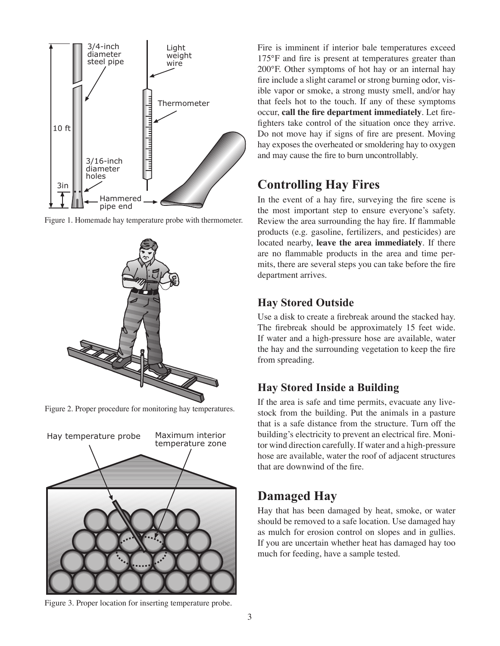

Figure 1. Homemade hay temperature probe with thermometer.



Figure 2. Proper procedure for monitoring hay temperatures.



Figure 3. Proper location for inserting temperature probe.

Fire is imminent if interior bale temperatures exceed 175°F and fire is present at temperatures greater than 200°F. Other symptoms of hot hay or an internal hay fire include a slight caramel or strong burning odor, visible vapor or smoke, a strong musty smell, and/or hay that feels hot to the touch. If any of these symptoms occur, call the fire department immediately. Let firefighters take control of the situation once they arrive. Do not move hay if signs of fire are present. Moving hay exposes the overheated or smoldering hay to oxygen and may cause the fire to burn uncontrollably.

# **Controlling Hay Fires**

In the event of a hay fire, surveying the fire scene is the most important step to ensure everyone's safety. Review the area surrounding the hay fire. If flammable products (e.g. gasoline, fertilizers, and pesticides) are located nearby, leave the area immediately. If there are no flammable products in the area and time permits, there are several steps you can take before the fire department arrives.

## **Hay Stored Outside**

Use a disk to create a firebreak around the stacked hay. The firebreak should be approximately 15 feet wide. If water and a high-pressure hose are available, water the hay and the surrounding vegetation to keep the fire from spreading.

## **Hay Stored Inside a Building**

If the area is safe and time permits, evacuate any livestock from the building. Put the animals in a pasture that is a safe distance from the structure. Turn off the building's electricity to prevent an electrical fire. Monitor wind direction carefully. If water and a high-pressure hose are available, water the roof of adjacent structures that are downwind of the fire.

# **Damaged Hay**

Hay that has been damaged by heat, smoke, or water should be removed to a safe location. Use damaged hay as mulch for erosion control on slopes and in gullies. If you are uncertain whether heat has damaged hay too much for feeding, have a sample tested.